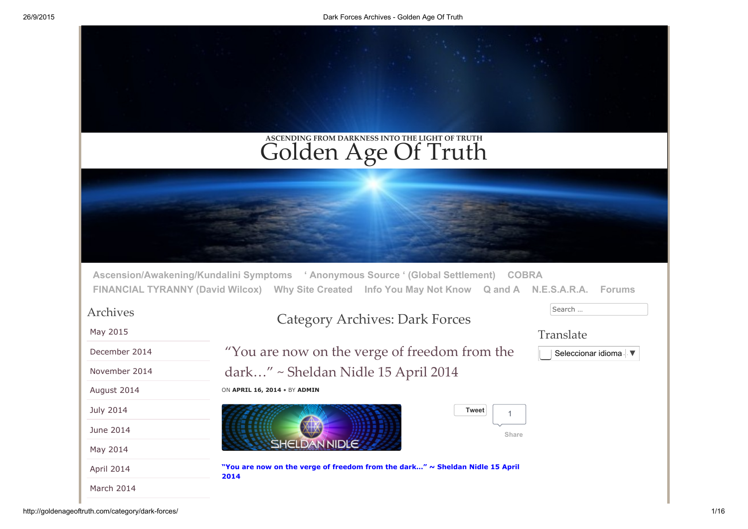|                      | ASCENDING FROM DARKNESS INTO THE LIGHT OF TRUTH<br>Golden Age Of Truth                                                                                                                                 |
|----------------------|--------------------------------------------------------------------------------------------------------------------------------------------------------------------------------------------------------|
|                      |                                                                                                                                                                                                        |
|                      |                                                                                                                                                                                                        |
|                      | Ascension/Awakening/Kundalini Symptoms ' Anonymous Source ' (Global Settlement) COBRA<br>FINANCIAL TYRANNY (David Wilcox) Why Site Created Info You May Not Know Q and A N.E.S.A.R.A.<br><b>Forums</b> |
| Archives<br>May 2015 | Search<br><b>Category Archives: Dark Forces</b>                                                                                                                                                        |
| December 2014        | Translate<br>"You are now on the verge of freedom from the<br>Seleccionar idioma V                                                                                                                     |
| November 2014        | dark" ~ Sheldan Nidle 15 April 2014                                                                                                                                                                    |
| August 2014          | ON APRIL 16, 2014 . BY ADMIN                                                                                                                                                                           |
| <b>July 2014</b>     | <b>Tweet</b>                                                                                                                                                                                           |
| June 2014            | Share                                                                                                                                                                                                  |
| May 2014             | <b>SHELDAN NIDLE</b>                                                                                                                                                                                   |
| April 2014           | "You are now on the verge of freedom from the dark" ~ Sheldan Nidle 15 April<br>2014                                                                                                                   |
| March 2014           |                                                                                                                                                                                                        |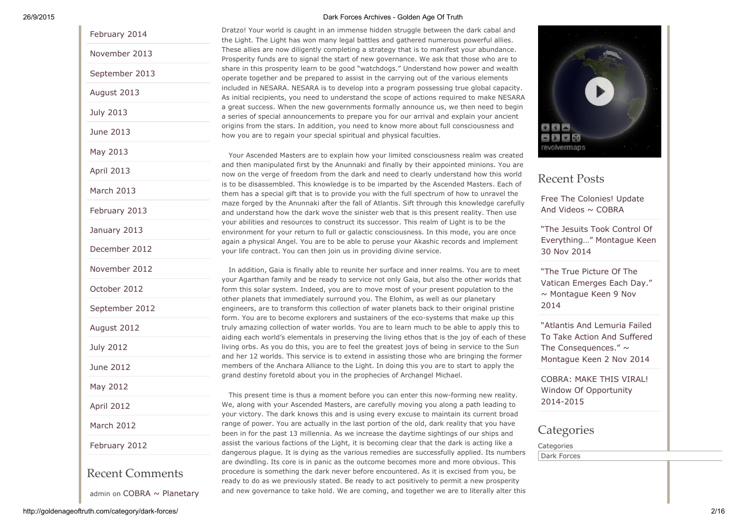# [February](http://goldenageoftruth.com/2014/02/) 2014 [November](http://goldenageoftruth.com/2013/11/) 2013 [September](http://goldenageoftruth.com/2013/09/) 2013 [August](http://goldenageoftruth.com/2013/08/) 2013 July [2013](http://goldenageoftruth.com/2013/07/) June [2013](http://goldenageoftruth.com/2013/06/) May [2013](http://goldenageoftruth.com/2013/05/) April [2013](http://goldenageoftruth.com/2013/04/) [March](http://goldenageoftruth.com/2013/03/) 2013 [February](http://goldenageoftruth.com/2013/02/) 2013 [January](http://goldenageoftruth.com/2013/01/) 2013 [December](http://goldenageoftruth.com/2012/12/) 2012 [November](http://goldenageoftruth.com/2012/11/) 2012 [October](http://goldenageoftruth.com/2012/10/) 2012 [September](http://goldenageoftruth.com/2012/09/) 2012 [August](http://goldenageoftruth.com/2012/08/) 2012 July [2012](http://goldenageoftruth.com/2012/07/) June [2012](http://goldenageoftruth.com/2012/06/) May [2012](http://goldenageoftruth.com/2012/05/) April [2012](http://goldenageoftruth.com/2012/04/) [March](http://goldenageoftruth.com/2012/03/) 2012 [February](http://goldenageoftruth.com/2012/02/) 2012 Recent Comments

admin on  $COBRA \sim$  Planetary

#### 26/9/2015 Dark Forces Archives Golden Age Of Truth

Dratzo! Your world is caught in an immense hidden struggle between the dark cabal and the Light. The Light has won many legal battles and gathered numerous powerful allies. These allies are now diligently completing a strategy that is to manifest your abundance. Prosperity funds are to signal the start of new governance. We ask that those who are to share in this prosperity learn to be good "watchdogs." Understand how power and wealth operate together and be prepared to assist in the carrying out of the various elements included in NESARA. NESARA is to develop into a program possessing true global capacity. As initial recipients, you need to understand the scope of actions required to make NESARA a great success. When the new governments formally announce us, we then need to begin a series of special announcements to prepare you for our arrival and explain your ancient origins from the stars. In addition, you need to know more about full consciousness and how you are to regain your special spiritual and physical faculties.

Your Ascended Masters are to explain how your limited consciousness realm was created and then manipulated first by the Anunnaki and finally by their appointed minions. You are now on the verge of freedom from the dark and need to clearly understand how this world is to be disassembled. This knowledge is to be imparted by the Ascended Masters. Each of them has a special gift that is to provide you with the full spectrum of how to unravel the maze forged by the Anunnaki after the fall of Atlantis. Sift through this knowledge carefully and understand how the dark wove the sinister web that is this present reality. Then use your abilities and resources to construct its successor. This realm of Light is to be the environment for your return to full or galactic consciousness. In this mode, you are once again a physical Angel. You are to be able to peruse your Akashic records and implement your life contract. You can then join us in providing divine service.

In addition, Gaia is finally able to reunite her surface and inner realms. You are to meet your Agarthan family and be ready to service not only Gaia, but also the other worlds that form this solar system. Indeed, you are to move most of your present population to the other planets that immediately surround you. The Elohim, as well as our planetary engineers, are to transform this collection of water planets back to their original pristine form. You are to become explorers and sustainers of the eco-systems that make up this truly amazing collection of water worlds. You are to learn much to be able to apply this to aiding each world's elementals in preserving the living ethos that is the joy of each of these living orbs. As you do this, you are to feel the greatest joys of being in service to the Sun and her 12 worlds. This service is to extend in assisting those who are bringing the former members of the Anchara Alliance to the Light. In doing this you are to start to apply the grand destiny foretold about you in the prophecies of Archangel Michael.

This present time is thus a moment before you can enter this now-forming new reality. We, along with your Ascended Masters, are carefully moving you along a path leading to your victory. The dark knows this and is using every excuse to maintain its current broad range of power. You are actually in the last portion of the old, dark reality that you have been in for the past 13 millennia. As we increase the daytime sightings of our ships and assist the various factions of the Light, it is becoming clear that the dark is acting like a dangerous plague. It is dying as the various remedies are successfully applied. Its numbers are dwindling. Its core is in panic as the outcome becomes more and more obvious. This procedure is something the dark never before encountered. As it is excised from you, be ready to do as we previously stated. Be ready to act positively to permit a new prosperity and new governance to take hold. We are coming, and together we are to literally alter this



## Recent Posts

Free The [Colonies!](http://goldenageoftruth.com/free-the-colonies-update-and-videos-cobra/) Update And Videos  $\sim$  COBRA

"The Jesuits Took Control Of [Everything…"](http://goldenageoftruth.com/jesuits-took-control-everything-montague-keen-30-nov-2014/) Montague Keen 30 Nov 2014

"The True Picture Of The Vatican Emerges Each Day."  $\sim$  [Montague](http://goldenageoftruth.com/the-true-picture-of-the-vatican-emerges-each-day-montague-keen-9-nov-2014/) Keen 9 Nov 2014

"Atlantis And Lemuria Failed To Take Action And Suffered The [Consequences."](http://goldenageoftruth.com/atlantis-and-lemuria-failed-to-take-action-and-suffered-the-consequences-montague-keen-2-nov-2014/)  $\sim$ Montague Keen 2 Nov 2014

COBRA: MAKE THIS VIRAL! Window Of [Opportunity](http://goldenageoftruth.com/cobra-make-viral-window-opportunity-2014-2015/) 2014-2015

**Categories** 

**Categories** Dark Forces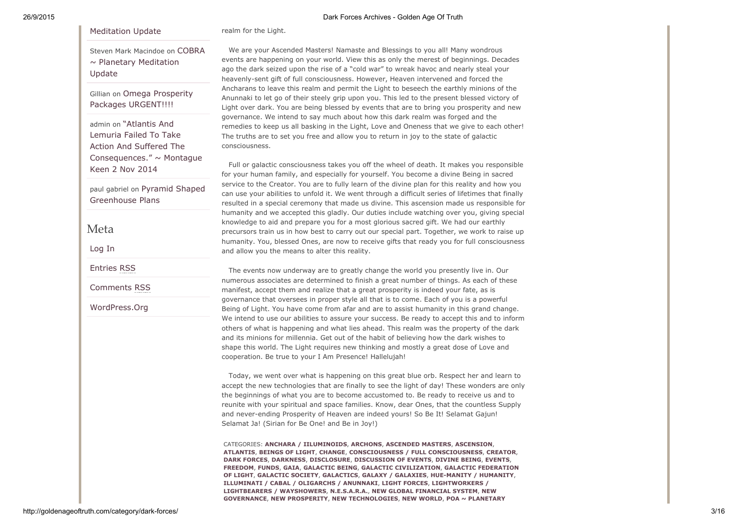### [Meditation](http://goldenageoftruth.com/cobra-planetary-meditation-update/#comment-11095) Update

realm for the Light.

Steven Mark Macindoe on COBRA  $\sim$  Planetary [Meditation](http://goldenageoftruth.com/cobra-planetary-meditation-update/#comment-10968) Update

Gillian on Omega Prosperity Packages [URGENT!!!!](http://goldenageoftruth.com/omega-prosperity-packages-urgent/#comment-10763)

admin on "Atlantis And Lemuria Failed To Take Action And Suffered The [Consequences."](http://goldenageoftruth.com/atlantis-and-lemuria-failed-to-take-action-and-suffered-the-consequences-montague-keen-2-nov-2014/#comment-10246) ~ Montague Keen 2 Nov 2014

paul gabriel on Pyramid Shaped [Greenhouse](http://goldenageoftruth.com/pyramid-shaped-greenhouse-plans/#comment-10224) Plans

### Meta

[Log](http://goldenageoftruth.com/wp-login.php) In

[Entries](http://goldenageoftruth.com/feed/) RSS

[Comments](http://goldenageoftruth.com/comments/feed/) RSS

[WordPress.Org](https://wordpress.org/)

We are your Ascended Masters! Namaste and Blessings to you all! Many wondrous events are happening on your world. View this as only the merest of beginnings. Decades ago the dark seized upon the rise of a "cold war" to wreak havoc and nearly steal your heavenly-sent gift of full consciousness. However, Heaven intervened and forced the Ancharans to leave this realm and permit the Light to beseech the earthly minions of the Anunnaki to let go of their steely grip upon you. This led to the present blessed victory of Light over dark. You are being blessed by events that are to bring you prosperity and new governance. We intend to say much about how this dark realm was forged and the remedies to keep us all basking in the Light, Love and Oneness that we give to each other! The truths are to set you free and allow you to return in joy to the state of galactic consciousness.

Full or galactic consciousness takes you off the wheel of death. It makes you responsible for your human family, and especially for yourself. You become a divine Being in sacred service to the Creator. You are to fully learn of the divine plan for this reality and how you can use your abilities to unfold it. We went through a difficult series of lifetimes that finally resulted in a special ceremony that made us divine. This ascension made us responsible for humanity and we accepted this gladly. Our duties include watching over you, giving special knowledge to aid and prepare you for a most glorious sacred gift. We had our earthly precursors train us in how best to carry out our special part. Together, we work to raise up humanity. You, blessed Ones, are now to receive gifts that ready you for full consciousness and allow you the means to alter this reality.

The events now underway are to greatly change the world you presently live in. Our numerous associates are determined to finish a great number of things. As each of these manifest, accept them and realize that a great prosperity is indeed your fate, as is governance that oversees in proper style all that is to come. Each of you is a powerful Being of Light. You have come from afar and are to assist humanity in this grand change. We intend to use our abilities to assure your success. Be ready to accept this and to inform others of what is happening and what lies ahead. This realm was the property of the dark and its minions for millennia. Get out of the habit of believing how the dark wishes to shape this world. The Light requires new thinking and mostly a great dose of Love and cooperation. Be true to your I Am Presence! Hallelujah!

Today, we went over what is happening on this great blue orb. Respect her and learn to accept the new technologies that are finally to see the light of day! These wonders are only the beginnings of what you are to become accustomed to. Be ready to receive us and to reunite with your spiritual and space families. Know, dear Ones, that the countless Supply and never-ending Prosperity of Heaven are indeed yours! So Be It! Selamat Gajun! Selamat Ja! (Sirian for Be One! and Be in Joy!)

CATEGORIES: ANCHARA / [IILUMINOIDS](http://goldenageoftruth.com/anchara-iiluminoids/), [ARCHONS,](http://goldenageoftruth.com/archons/) [ASCENDED](http://goldenageoftruth.com/ascended-masters/) MASTERS, [ASCENSION](http://goldenageoftruth.com/ascension/), [ATLANTIS,](http://goldenageoftruth.com/atlantis/) [BEINGS](http://goldenageoftruth.com/beings-of-light/) OF LIGHT, [CHANGE](http://goldenageoftruth.com/change/), CONSCIOUSNESS / FULL [CONSCIOUSNESS,](http://goldenageoftruth.com/consciousness-full-consciousness/) [CREATOR,](http://goldenageoftruth.com/creator/) DARK [FORCES,](http://goldenageoftruth.com/dark-forces/) [DARKNESS](http://goldenageoftruth.com/darkness/), [DISCLOSURE,](http://goldenageoftruth.com/disclosure/) [DISCUSSION](http://goldenageoftruth.com/discussion-of-events/) OF EVENTS, [DIVINE](http://goldenageoftruth.com/divine-being/) BEING, [EVENTS](http://goldenageoftruth.com/events/), [FREEDOM](http://goldenageoftruth.com/freedom/), [FUNDS,](http://goldenageoftruth.com/funds/) [GAIA,](http://goldenageoftruth.com/gaia/) [GALACTIC](http://goldenageoftruth.com/galactic-being/) BEING, GALACTIC [CIVILIZATION](http://goldenageoftruth.com/galactic-civilization/)[,](http://goldenageoftruth.com/galactic-federation/) GALACTIC FEDERATION OF LIGHT, [GALACTIC](http://goldenageoftruth.com/galactic-society/) SOCIETY, [GALACTICS,](http://goldenageoftruth.com/galactics/) GALAXY / [GALAXIES,](http://goldenageoftruth.com/galaxy-galaxies/) HUE-MANITY / HUMANITY, [ILLUMINATI](http://goldenageoftruth.com/illuminati-cabal-oligarchs-anunnaki/) / CABAL / OLIGARCHS / ANUNNAKI, LIGHT [FORCES](http://goldenageoftruth.com/light-forces/), [LIGHTWORKERS](http://goldenageoftruth.com/lightworkers-lightbearers-wayshowers/) / LIGHTBEARERS / WAYSHOWERS, [N.E.S.A.R.A.](http://goldenageoftruth.com/n-e-s-a-r-a/), NEW GLOBAL [FINANCIAL](http://goldenageoftruth.com/new-global-financial-system/) SYSTEM, NEW GOVERNANCE, NEW [PROSPERITY,](http://goldenageoftruth.com/new-prosperity/) NEW [TECHNOLOGIES,](http://goldenageoftruth.com/new-governance/) NEW [WORLD,](http://goldenageoftruth.com/new-world/) POA ~ PLANETARY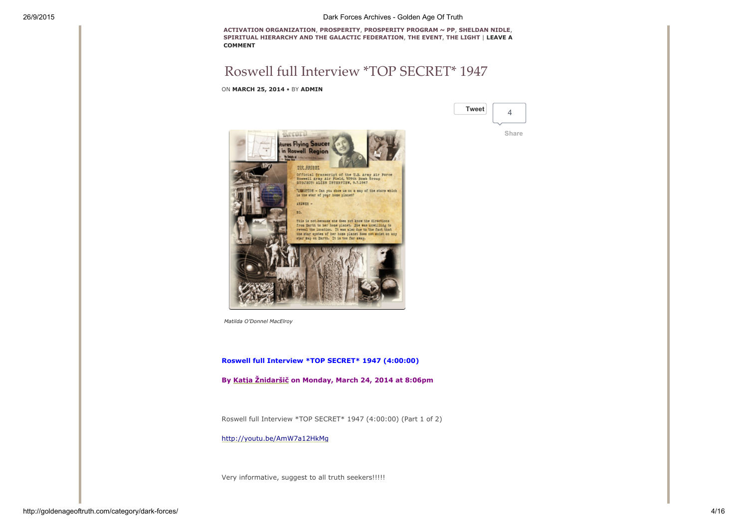[Tweet](https://twitter.com/intent/tweet?original_referer=http%3A%2F%2Fgoldenageoftruth.com%2Fcategory%2Fdark-forces%2F&ref_src=twsrc%5Etfw&text=Roswell%20full%20Interview%20*TOP%20SECRET*%201947&tw_p=tweetbutton&url=http%3A%2F%2Fgoldenageoftruth.com%2Froswell-full-interview-top-secret-1947%2F)

4

[Share](https://www.facebook.com/sharer/sharer.php?sdk=joey&u=http%3A%2F%2Fgoldenageoftruth.com%2Froswell-full-interview-top-secret-1947%2F&display=popup&ref=plugin&src=share_button)

ACTIVATION [ORGANIZATION,](http://goldenageoftruth.com/poa-planetary-activation-organization/) [PROSPERITY,](http://goldenageoftruth.com/prosperity/) [PROSPERITY](http://goldenageoftruth.com/prosperity-program-pp/) PROGRAM ~ PP, [SHELDAN](http://goldenageoftruth.com/sheldan-nidle/) NIDLE, SPIRITUAL HIERARCHY AND THE GALACTIC [FEDERATIO](http://goldenageoftruth.com/spiritual-hierarchy-and-the-galactic-federation/)[N,](http://goldenageoftruth.com/you-are-now-on-the-verge-of-freedom-from-the-dark-sheldan-nidle-15-april-2014/#respond) THE [EVENT,](http://goldenageoftruth.com/the-event/) THE [LIGHT](http://goldenageoftruth.com/the-light/) | LEAVE A COMMENT

# Roswell full [Interview](http://goldenageoftruth.com/roswell-full-interview-top-secret-1947/) \*TOP SECRET\* 1947

ON MARCH 25, 2014 • BY [ADMIN](http://goldenageoftruth.com/author/CKRich/)



*Matilda O'Donnel MacElroy*

Roswell full Interview \*TOP SECRET\* 1947 (4:00:00)

By Katja [Žnidaršič](https://www.facebook.com/katja.znidarsic) on Monday, March 24, 2014 at 8:06pm

Roswell full Interview \*TOP SECRET\* 1947 (4:00:00) (Part 1 of 2)

<http://youtu.be/AmW7a12HkMg>

Very informative, suggest to all truth seekers!!!!!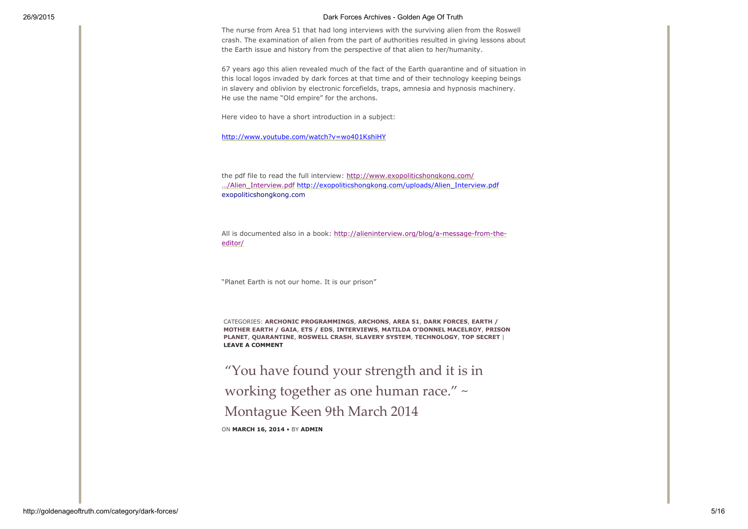The nurse from Area 51 that had long interviews with the surviving alien from the Roswell crash. The examination of alien from the part of authorities resulted in giving lessons about the Earth issue and history from the perspective of that alien to her/humanity.

67 years ago this alien revealed much of the fact of the Earth quarantine and of situation in this local logos invaded by dark forces at that time and of their technology keeping beings in slavery and oblivion by electronic forcefields, traps, amnesia and hypnosis machinery. He use the name "Old empire" for the archons.

Here video to have a short introduction in a subject:

<http://www.youtube.com/watch?v=wo401KshiHY>

the pdf file to read the full interview: http://www.exopoliticshongkong.com/ …/Alien\_Interview.pdf [http://exopoliticshongkong.com/uploads/Alien\\_Inter](http://www.facebook.com/l.php?u=http%3A%2F%2Fwww.exopoliticshongkong.com%2F...%2FAlien_Interview.pdf&h=JAQHPyfP5&s=1)[view.pdf](http://exopoliticshongkong.com/uploads/Alien_Interview.pdf) exopoliticshongkong.com

All is documented also in a book: http://alieninterview.org/blog/a-message-from-theeditor/

"Planet Earth is not our home. It is our prison"

CATEGORIES: ARCHONIC [PROGRAMMING](http://goldenageoftruth.com/archonic-programmings/)[S,](http://goldenageoftruth.com/earth-motherearth-gaia/) [ARCHONS](http://goldenageoftruth.com/archons/), [AREA](http://goldenageoftruth.com/area-51/) 51, DARK [FORCES](http://goldenageoftruth.com/dark-forces/), EARTH / MOTHER EARTH / GAIA, ETS / [EDS,](http://goldenageoftruth.com/ets-eds/) [INTERVIEWS,](http://goldenageoftruth.com/interviews/) MATILDA O'DONNEL [MACELROY](http://goldenageoftruth.com/matilda-odonnel-macelroy/), PRISON PLANET, [QUARANTINE,](http://goldenageoftruth.com/quarantine/) [ROSWELL](http://goldenageoftruth.com/roswell-crash/) CRASH, [SLAVERY](http://goldenageoftruth.com/slavery-system/) SYSTEM, [TECHNOLOGY,](http://goldenageoftruth.com/prison-planet/) TOP [SECRET](http://goldenageoftruth.com/top-secret/) | LEAVE A [COMMENT](http://goldenageoftruth.com/roswell-full-interview-top-secret-1947/#respond)

"You have found your strength and it is in working together as one human race." ~ [Montague](http://goldenageoftruth.com/strength-working-human-race-montague-keen-9th-march-2014/) Keen 9th March 2014 ON MARCH 16, 2014 • BY [ADMIN](http://goldenageoftruth.com/author/CKRich/)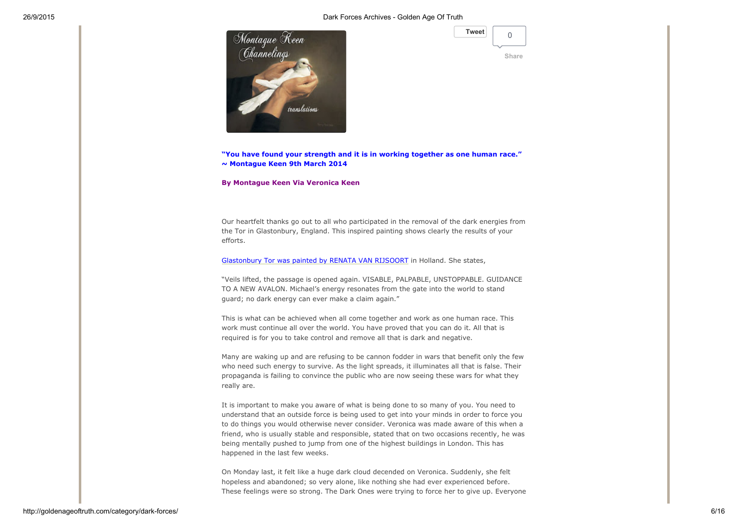

| <b>Tweet</b> |  |
|--------------|--|
|              |  |

"You have found your strength and it is in working together as one human race." ~ Montague Keen 9th March 2014

By Montague Keen Via Veronica Keen

Our heartfelt thanks go out to all who participated in the removal of the dark energies from the Tor in Glastonbury, England. This inspired painting shows clearly the results of your efforts.

[Glastonbury](http://www.montaguekeen.com/2010-2013/page941.html) Tor was painted by RENATA VAN RIJSOORT in Holland. She states,

"Veils lifted, the passage is opened again. VISABLE, PALPABLE, UNSTOPPABLE. GUIDANCE TO A NEW AVALON. Michael's energy resonates from the gate into the world to stand guard; no dark energy can ever make a claim again."

This is what can be achieved when all come together and work as one human race. This work must continue all over the world. You have proved that you can do it. All that is required is for you to take control and remove all that is dark and negative.

Many are waking up and are refusing to be cannon fodder in wars that benefit only the few who need such energy to survive. As the light spreads, it illuminates all that is false. Their propaganda is failing to convince the public who are now seeing these wars for what they really are.

It is important to make you aware of what is being done to so many of you. You need to understand that an outside force is being used to get into your minds in order to force you to do things you would otherwise never consider. Veronica was made aware of this when a friend, who is usually stable and responsible, stated that on two occasions recently, he was being mentally pushed to jump from one of the highest buildings in London. This has happened in the last few weeks.

On Monday last, it felt like a huge dark cloud decended on Veronica. Suddenly, she felt hopeless and abandoned; so very alone, like nothing she had ever experienced before. These feelings were so strong. The Dark Ones were trying to force her to give up. Everyone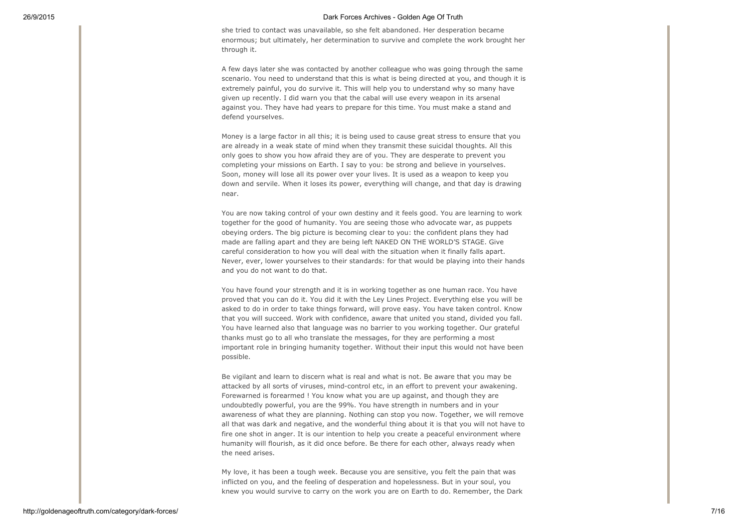she tried to contact was unavailable, so she felt abandoned. Her desperation became enormous; but ultimately, her determination to survive and complete the work brought her through it.

A few days later she was contacted by another colleague who was going through the same scenario. You need to understand that this is what is being directed at you, and though it is extremely painful, you do survive it. This will help you to understand why so many have given up recently. I did warn you that the cabal will use every weapon in its arsenal against you. They have had years to prepare for this time. You must make a stand and defend yourselves.

Money is a large factor in all this; it is being used to cause great stress to ensure that you are already in a weak state of mind when they transmit these suicidal thoughts. All this only goes to show you how afraid they are of you. They are desperate to prevent you completing your missions on Earth. I say to you: be strong and believe in yourselves. Soon, money will lose all its power over your lives. It is used as a weapon to keep you down and servile. When it loses its power, everything will change, and that day is drawing near.

You are now taking control of your own destiny and it feels good. You are learning to work together for the good of humanity. You are seeing those who advocate war, as puppets obeying orders. The big picture is becoming clear to you: the confident plans they had made are falling apart and they are being left NAKED ON THE WORLD'S STAGE. Give careful consideration to how you will deal with the situation when it finally falls apart. Never, ever, lower yourselves to their standards: for that would be playing into their hands and you do not want to do that.

You have found your strength and it is in working together as one human race. You have proved that you can do it. You did it with the Ley Lines Project. Everything else you will be asked to do in order to take things forward, will prove easy. You have taken control. Know that you will succeed. Work with confidence, aware that united you stand, divided you fall. You have learned also that language was no barrier to you working together. Our grateful thanks must go to all who translate the messages, for they are performing a most important role in bringing humanity together. Without their input this would not have been possible.

Be vigilant and learn to discern what is real and what is not. Be aware that you may be attacked by all sorts of viruses, mind-control etc, in an effort to prevent your awakening. Forewarned is forearmed ! You know what you are up against, and though they are undoubtedly powerful, you are the 99%. You have strength in numbers and in your awareness of what they are planning. Nothing can stop you now. Together, we will remove all that was dark and negative, and the wonderful thing about it is that you will not have to fire one shot in anger. It is our intention to help you create a peaceful environment where humanity will flourish, as it did once before. Be there for each other, always ready when the need arises.

My love, it has been a tough week. Because you are sensitive, you felt the pain that was inflicted on you, and the feeling of desperation and hopelessness. But in your soul, you knew you would survive to carry on the work you are on Earth to do. Remember, the Dark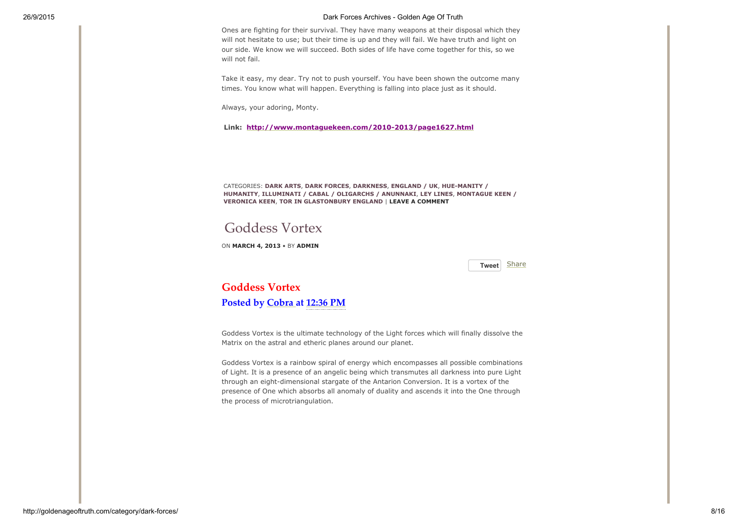Ones are fighting for their survival. They have many weapons at their disposal which they will not hesitate to use; but their time is up and they will fail. We have truth and light on our side. We know we will succeed. Both sides of life have come together for this, so we will not fail.

Take it easy, my dear. Try not to push yourself. You have been shown the outcome many times. You know what will happen. Everything is falling into place just as it should.

Always, your adoring, Monty.

Link: http://www.montaguekeen.com/2010-2013/page1627.html

CATEGORIES: [DARK](http://goldenageoftruth.com/dark-arts/) ARTS, DARK [FORCES,](http://goldenageoftruth.com/dark-forces/) [DARKNESS](http://goldenageoftruth.com/darkness/), [ENGLAND](http://goldenageoftruth.com/england-uk/) / UK, HUE-MANITY / HUMANITY, [ILLUMINATI](http://goldenageoftruth.com/illuminati-cabal-oligarchs-anunnaki/) / CABAL / OLIGARCHS / ANUNNAKI, LEY [LINES](http://goldenageoftruth.com/ley-lines/), MONTAGUE KEEN / VERONICA KEEN, TOR IN [GLASTONBURY](http://goldenageoftruth.com/montague-keen-veronica-keen/) ENGLAND | LEAVE A [COMMENT](http://goldenageoftruth.com/strength-working-human-race-montague-keen-9th-march-2014/#respond)

## [Goddess](http://goldenageoftruth.com/goddess-vortex/) Vortex

ON MARCH 4, 2013 • BY [ADMIN](http://goldenageoftruth.com/author/CKRich/)

[Tweet](https://twitter.com/intent/tweet?original_referer=http%3A%2F%2Fgoldenageoftruth.com%2Fcategory%2Fdark-forces%2F&ref_src=twsrc%5Etfw&text=Goddess%20Vortex&tw_p=tweetbutton&url=http%3A%2F%2Fgoldenageoftruth.com%2Fgoddess-vortex%2F) [Share](http://www.facebook.com/sharer.php)

Goddess Vortex Posted by [Cobra](http://www.blogger.com/profile/17475861052651288889) at [12:36](http://www.2012portal.blogspot.com/2013/03/goddessvortex-goddessvortex-is-ultimate.html) PM

Goddess Vortex is the ultimate technology of the Light forces which will finally dissolve the Matrix on the astral and etheric planes around our planet.

Goddess Vortex is a rainbow spiral of energy which encompasses all possible combinations of Light. It is a presence of an angelic being which transmutes all darkness into pure Light through an eight-dimensional stargate of the Antarion Conversion. It is a vortex of the presence of One which absorbs all anomaly of duality and ascends it into the One through the process of microtriangulation.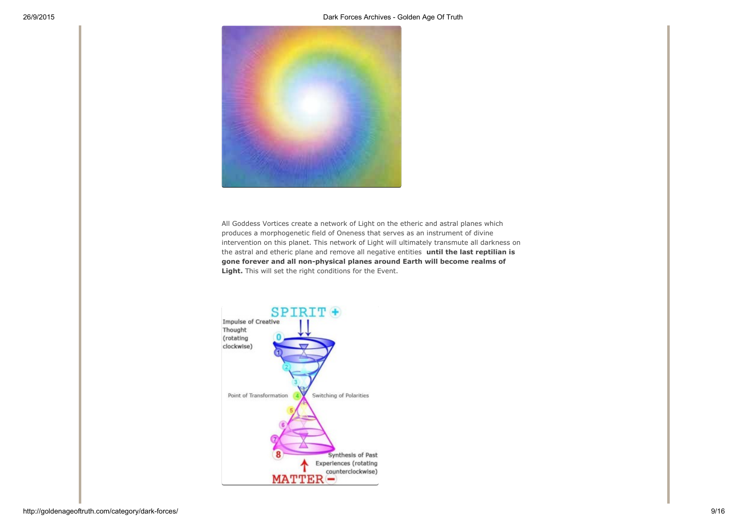

All Goddess Vortices create a network of Light on the etheric and astral planes which produces a morphogenetic field of Oneness that serves as an instrument of divine intervention on this planet. This network of Light will ultimately transmute all darkness on the astral and etheric plane and remove all negative entities until the last reptilian is gone forever and all non-physical planes around Earth will become realms of Light. This will set the right conditions for the Event.

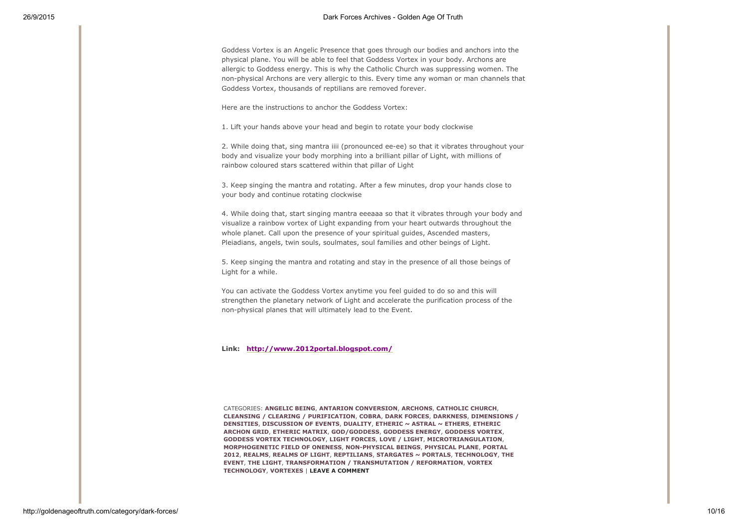Goddess Vortex is an Angelic Presence that goes through our bodies and anchors into the physical plane. You will be able to feel that Goddess Vortex in your body. Archons are allergic to Goddess energy. This is why the Catholic Church was suppressing women. The non-physical Archons are very allergic to this. Every time any woman or man channels that Goddess Vortex, thousands of reptilians are removed forever.

Here are the instructions to anchor the Goddess Vortex:

1. Lift your hands above your head and begin to rotate your body clockwise

2. While doing that, sing mantra iiii (pronounced ee-ee) so that it vibrates throughout your body and visualize your body morphing into a brilliant pillar of Light, with millions of rainbow coloured stars scattered within that pillar of Light

3. Keep singing the mantra and rotating. After a few minutes, drop your hands close to your body and continue rotating clockwise

4. While doing that, start singing mantra eeeaaa so that it vibrates through your body and visualize a rainbow vortex of Light expanding from your heart outwards throughout the whole planet. Call upon the presence of your spiritual guides, Ascended masters, Pleiadians, angels, twin souls, soulmates, soul families and other beings of Light.

5. Keep singing the mantra and rotating and stay in the presence of all those beings of Light for a while.

You can activate the Goddess Vortex anytime you feel guided to do so and this will strengthen the planetary network of Light and accelerate the purification process of the non-physical planes that will ultimately lead to the Event.

Link: <http://www.2012portal.blogspot.com/>

CATEGORIES: [ANGELIC](http://goldenageoftruth.com/angelic-being/) BEING, ANTARION [CONVERSION](http://goldenageoftruth.com/antarion-conversion/), [ARCHONS](http://goldenageoftruth.com/archons/), [CATHOLIC](http://goldenageoftruth.com/catholic-church/) CHURCH, CLEANSING / CLEARING / [PURIFICATIO](http://goldenageoftruth.com/cleansing-clearing-purification/)[N,](http://goldenageoftruth.com/dimensions-densities/) [COBRA](http://goldenageoftruth.com/cobra/), DARK [FORCES,](http://goldenageoftruth.com/dark-forces/) [DARKNESS](http://goldenageoftruth.com/darkness/), DIMENSIONS / DENSITIES, [DISCUSSION](http://goldenageoftruth.com/discussion-of-events/) OF EVENTS, [DUALITY](http://goldenageoftruth.com/duality/), [ETHERIC](http://goldenageoftruth.com/etheric-astral-ethers/) ~ ASTRAL ~ ETHERS, ETHERIC ARCHON GRID, [ETHERIC](http://goldenageoftruth.com/etheric-matrix/) MATRIX, [GOD/GODDESS,](http://goldenageoftruth.com/etheric-archon-grid/) [GODDESS](http://goldenageoftruth.com/goddess-energy/) ENERGY, [GODDESS](http://goldenageoftruth.com/goddess-vortex/) VORTEX, GODDESS VORTEX [TECHNOLOGY,](http://goldenageoftruth.com/goddess-vortex-technology/) LIGHT [FORCES](http://goldenageoftruth.com/light-forces/), LOVE / [LIGHT,](http://goldenageoftruth.com/love-light/) [MICROTRIANGULATION,](http://goldenageoftruth.com/microtriangulation/) [MORPHOGENETIC](http://goldenageoftruth.com/morphogenetic-field-of-oneness/) FIELD OF ONENESS, [NONPHYSICAL](http://goldenageoftruth.com/non-physical-beings/) BEINGS, [PHYSICAL](http://goldenageoftruth.com/physical-plane/) PLANE, PORTAL 2012, [REALMS,](http://goldenageoftruth.com/realms/) [REALMS](http://goldenageoftruth.com/realms-of-light/) OF LIGHT, [REPTILIANS,](http://goldenageoftruth.com/reptilians/) [STARGATES](http://goldenageoftruth.com/stargatesportals/) ~ PORTALS, [TECHNOLOGY,](http://goldenageoftruth.com/technology/) THE EVENT, THE [LIGHT](http://goldenageoftruth.com/the-light/), [TRANSFORMATION](http://goldenageoftruth.com/the-event/) / TRANSMUTATION / REFORMATION, VORTEX TECHNOLOGY, [VORTEXES](http://goldenageoftruth.com/vortexes/) | LEAVE A [COMMENT](http://goldenageoftruth.com/goddess-vortex/#respond)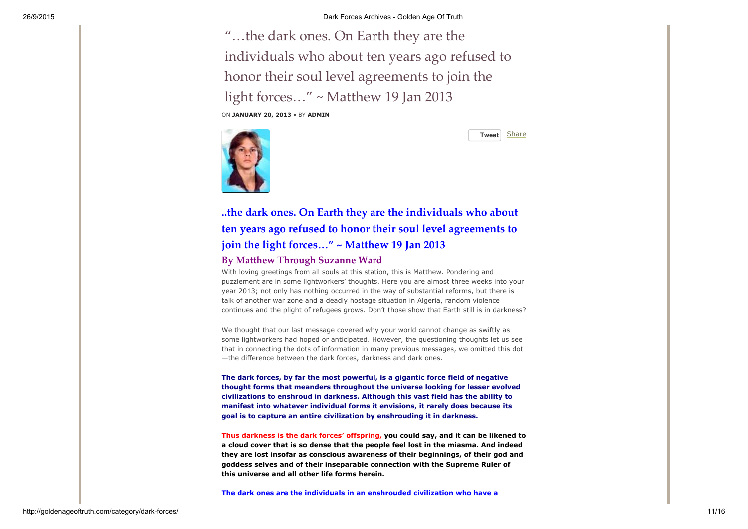"…the dark ones. On Earth they are the individuals who about ten years ago refused to honor their soul level [agreements](http://goldenageoftruth.com/dark-earth-individuals-ten-years-refused-honor-soul-level-agreements-join-light-forces-matthew-19-jan-2013/) to join the light forces…" ~ Matthew 19 Jan 2013 ON JANUARY 20, 2013 • BY [ADMIN](http://goldenageoftruth.com/author/CKRich/)



[Tweet](https://twitter.com/intent/tweet?original_referer=http%3A%2F%2Fgoldenageoftruth.com%2Fcategory%2Fdark-forces%2F&ref_src=twsrc%5Etfw&text=%26%25238220%3B%26%25238230%3Bthe%20dark%20ones.%20On%20Earth%20they%20are%20the%20individuals%20who%20about%20ten%20years%20ago%20refused%20to%20honor%20their%20soul%20level%20agreements%20to%20join%20the%20light%20forces%26%25238230%3B%26%25238221%3B%20~%20Matthew%2019%20Jan%202013&tw_p=tweetbutton&url=http%3A%2F%2Fgoldenageoftruth.com%2Fdark-earth-individuals-ten-years-refused-honor-soul-level-agreements-join-light-forces-matthew-19-jan-2013%2F) [Share](http://www.facebook.com/sharer.php)

# ..the dark ones. On Earth they are the individuals who about ten years ago refused to honor their soul level agreements to join the light forces..." ~ Matthew 19 Jan 2013

### By Matthew Through Suzanne Ward

With loving greetings from all souls at this station, this is Matthew. Pondering and puzzlement are in some lightworkers' thoughts. Here you are almost three weeks into your year 2013; not only has nothing occurred in the way of substantial reforms, but there is talk of another war zone and a deadly hostage situation in Algeria, random violence continues and the plight of refugees grows. Don't those show that Earth still is in darkness?

We thought that our last message covered why your world cannot change as swiftly as some lightworkers had hoped or anticipated. However, the questioning thoughts let us see that in connecting the dots of information in many previous messages, we omitted this dot —the difference between the dark forces, darkness and dark ones.

The dark forces, by far the most powerful, is a gigantic force field of negative thought forms that meanders throughout the universe looking for lesser evolved civilizations to enshroud in darkness. Although this vast field has the ability to manifest into whatever individual forms it envisions, it rarely does because its goal is to capture an entire civilization by enshrouding it in darkness.

Thus darkness is the dark forces' offspring, you could say, and it can be likened to a cloud cover that is so dense that the people feel lost in the miasma. And indeed they are lost insofar as conscious awareness of their beginnings, of their god and goddess selves and of their inseparable connection with the Supreme Ruler of this universe and all other life forms herein.

The dark ones are the individuals in an enshrouded civilization who have a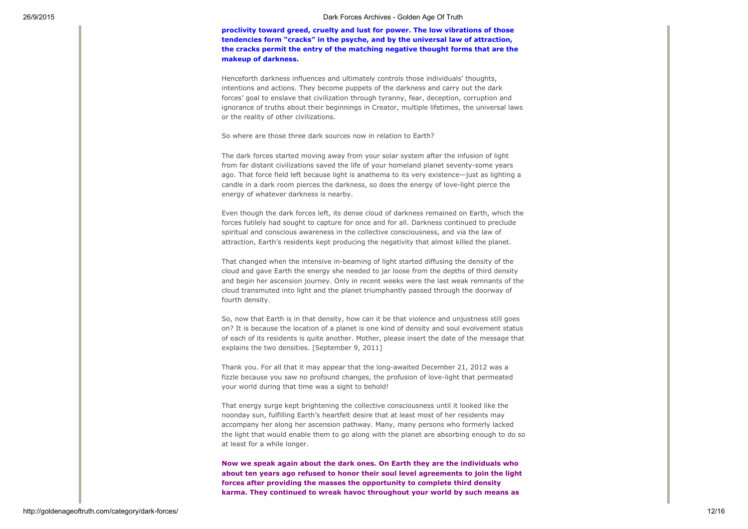proclivity toward greed, cruelty and lust for power. The low vibrations of those tendencies form "cracks" in the psyche, and by the universal law of attraction, the cracks permit the entry of the matching negative thought forms that are the makeup of darkness.

Henceforth darkness influences and ultimately controls those individuals' thoughts, intentions and actions. They become puppets of the darkness and carry out the dark forces' goal to enslave that civilization through tyranny, fear, deception, corruption and ignorance of truths about their beginnings in Creator, multiple lifetimes, the universal laws or the reality of other civilizations.

So where are those three dark sources now in relation to Earth?

The dark forces started moving away from your solar system after the infusion of light from far distant civilizations saved the life of your homeland planet seventy-some years ago. That force field left because light is anathema to its very existence—just as lighting a candle in a dark room pierces the darkness, so does the energy of love-light pierce the energy of whatever darkness is nearby.

Even though the dark forces left, its dense cloud of darkness remained on Earth, which the forces futilely had sought to capture for once and for all. Darkness continued to preclude spiritual and conscious awareness in the collective consciousness, and via the law of attraction, Earth's residents kept producing the negativity that almost killed the planet.

That changed when the intensive in-beaming of light started diffusing the density of the cloud and gave Earth the energy she needed to jar loose from the depths of third density and begin her ascension journey. Only in recent weeks were the last weak remnants of the cloud transmuted into light and the planet triumphantly passed through the doorway of fourth density.

So, now that Earth is in that density, how can it be that violence and unjustness still goes on? It is because the location of a planet is one kind of density and soul evolvement status of each of its residents is quite another. Mother, please insert the date of the message that explains the two densities. [September 9, 2011]

Thank you. For all that it may appear that the long-awaited December 21, 2012 was a fizzle because you saw no profound changes, the profusion of love-light that permeated your world during that time was a sight to behold!

That energy surge kept brightening the collective consciousness until it looked like the noonday sun, fulfilling Earth's heartfelt desire that at least most of her residents may accompany her along her ascension pathway. Many, many persons who formerly lacked the light that would enable them to go along with the planet are absorbing enough to do so at least for a while longer.

Now we speak again about the dark ones. On Earth they are the individuals who about ten years ago refused to honor their soul level agreements to join the light forces after providing the masses the opportunity to complete third density karma. They continued to wreak havoc throughout your world by such means as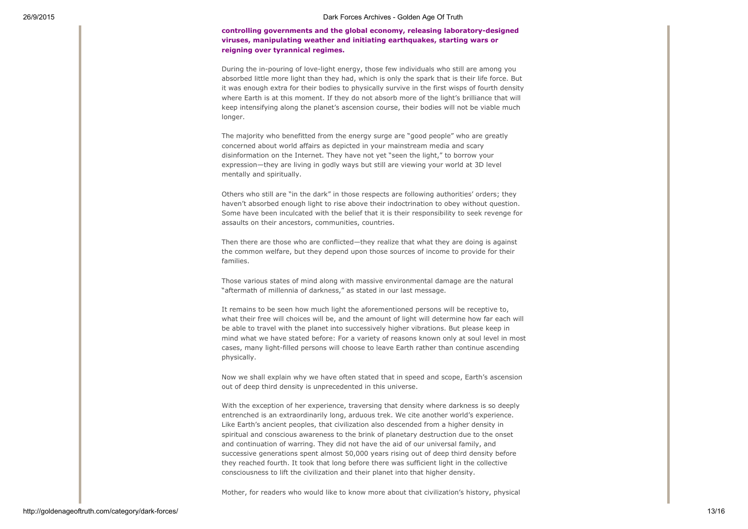controlling governments and the global economy, releasing laboratory-designed viruses, manipulating weather and initiating earthquakes, starting wars or reigning over tyrannical regimes.

During the in-pouring of love-light energy, those few individuals who still are among you absorbed little more light than they had, which is only the spark that is their life force. But it was enough extra for their bodies to physically survive in the first wisps of fourth density where Earth is at this moment. If they do not absorb more of the light's brilliance that will keep intensifying along the planet's ascension course, their bodies will not be viable much longer.

The majority who benefitted from the energy surge are "good people" who are greatly concerned about world affairs as depicted in your mainstream media and scary disinformation on the Internet. They have not yet "seen the light," to borrow your expression—they are living in godly ways but still are viewing your world at 3D level mentally and spiritually.

Others who still are "in the dark" in those respects are following authorities' orders; they haven't absorbed enough light to rise above their indoctrination to obey without question. Some have been inculcated with the belief that it is their responsibility to seek revenge for assaults on their ancestors, communities, countries.

Then there are those who are conflicted—they realize that what they are doing is against the common welfare, but they depend upon those sources of income to provide for their families.

Those various states of mind along with massive environmental damage are the natural "aftermath of millennia of darkness," as stated in our last message.

It remains to be seen how much light the aforementioned persons will be receptive to, what their free will choices will be, and the amount of light will determine how far each will be able to travel with the planet into successively higher vibrations. But please keep in mind what we have stated before: For a variety of reasons known only at soul level in most cases, many light-filled persons will choose to leave Earth rather than continue ascending physically.

Now we shall explain why we have often stated that in speed and scope, Earth's ascension out of deep third density is unprecedented in this universe.

With the exception of her experience, traversing that density where darkness is so deeply entrenched is an extraordinarily long, arduous trek. We cite another world's experience. Like Earth's ancient peoples, that civilization also descended from a higher density in spiritual and conscious awareness to the brink of planetary destruction due to the onset and continuation of warring. They did not have the aid of our universal family, and successive generations spent almost 50,000 years rising out of deep third density before they reached fourth. It took that long before there was sufficient light in the collective consciousness to lift the civilization and their planet into that higher density.

Mother, for readers who would like to know more about that civilization's history, physical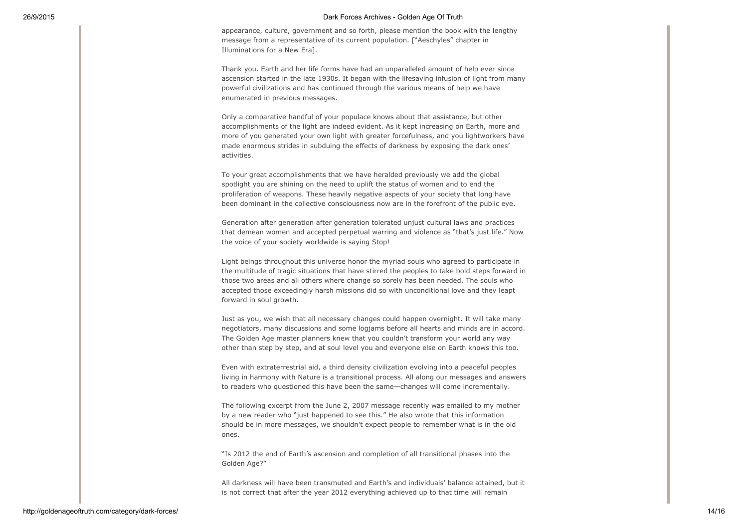appearance, culture, government and so forth, please mention the book with the lengthy message from a representative of its current population. ["Aeschyles" chapter in Illuminations for a New Era].

Thank you. Earth and her life forms have had an unparalleled amount of help ever since ascension started in the late 1930s. It began with the lifesaving infusion of light from many powerful civilizations and has continued through the various means of help we have enumerated in previous messages.

Only a comparative handful of your populace knows about that assistance, but other accomplishments of the light are indeed evident. As it kept increasing on Earth, more and more of you generated your own light with greater forcefulness, and you lightworkers have made enormous strides in subduing the effects of darkness by exposing the dark ones' activities.

To your great accomplishments that we have heralded previously we add the global spotlight you are shining on the need to uplift the status of women and to end the proliferation of weapons. These heavily negative aspects of your society that long have been dominant in the collective consciousness now are in the forefront of the public eye.

Generation after generation after generation tolerated unjust cultural laws and practices that demean women and accepted perpetual warring and violence as "that's just life." Now the voice of your society worldwide is saying Stop!

Light beings throughout this universe honor the myriad souls who agreed to participate in the multitude of tragic situations that have stirred the peoples to take bold steps forward in those two areas and all others where change so sorely has been needed. The souls who accepted those exceedingly harsh missions did so with unconditional love and they leapt forward in soul growth.

Just as you, we wish that all necessary changes could happen overnight. It will take many negotiators, many discussions and some logjams before all hearts and minds are in accord. The Golden Age master planners knew that you couldn't transform your world any way other than step by step, and at soul level you and everyone else on Earth knows this too.

Even with extraterrestrial aid, a third density civilization evolving into a peaceful peoples living in harmony with Nature is a transitional process. All along our messages and answers to readers who questioned this have been the same—changes will come incrementally.

The following excerpt from the June 2, 2007 message recently was emailed to my mother by a new reader who "just happened to see this." He also wrote that this information should be in more messages, we shouldn't expect people to remember what is in the old ones.

"Is 2012 the end of Earth's ascension and completion of all transitional phases into the Golden Age?"

All darkness will have been transmuted and Earth's and individuals' balance attained, but it is not correct that after the year 2012 everything achieved up to that time will remain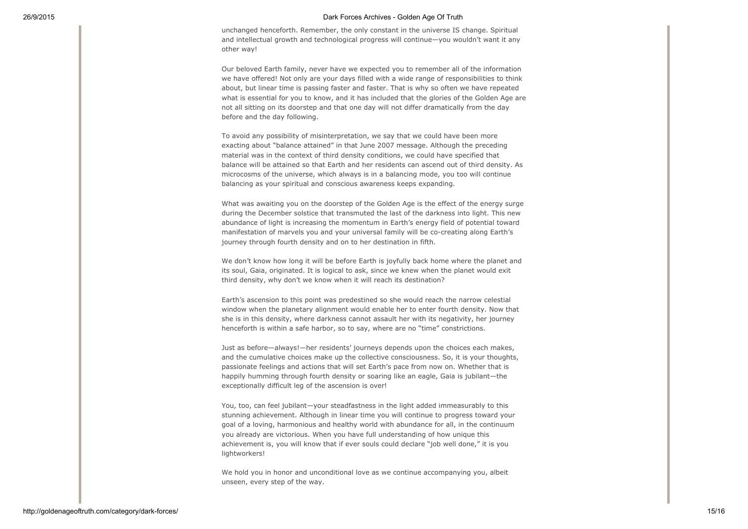unchanged henceforth. Remember, the only constant in the universe IS change. Spiritual and intellectual growth and technological progress will continue—you wouldn't want it any other way!

Our beloved Earth family, never have we expected you to remember all of the information we have offered! Not only are your days filled with a wide range of responsibilities to think about, but linear time is passing faster and faster. That is why so often we have repeated what is essential for you to know, and it has included that the glories of the Golden Age are not all sitting on its doorstep and that one day will not differ dramatically from the day before and the day following.

To avoid any possibility of misinterpretation, we say that we could have been more exacting about "balance attained" in that June 2007 message. Although the preceding material was in the context of third density conditions, we could have specified that balance will be attained so that Earth and her residents can ascend out of third density. As microcosms of the universe, which always is in a balancing mode, you too will continue balancing as your spiritual and conscious awareness keeps expanding.

What was awaiting you on the doorstep of the Golden Age is the effect of the energy surge during the December solstice that transmuted the last of the darkness into light. This new abundance of light is increasing the momentum in Earth's energy field of potential toward manifestation of marvels you and your universal family will be co-creating along Earth's journey through fourth density and on to her destination in fifth.

We don't know how long it will be before Earth is joyfully back home where the planet and its soul, Gaia, originated. It is logical to ask, since we knew when the planet would exit third density, why don't we know when it will reach its destination?

Earth's ascension to this point was predestined so she would reach the narrow celestial window when the planetary alignment would enable her to enter fourth density. Now that she is in this density, where darkness cannot assault her with its negativity, her journey henceforth is within a safe harbor, so to say, where are no "time" constrictions.

Just as before—always!—her residents' journeys depends upon the choices each makes, and the cumulative choices make up the collective consciousness. So, it is your thoughts, passionate feelings and actions that will set Earth's pace from now on. Whether that is happily humming through fourth density or soaring like an eagle, Gaia is jubilant—the exceptionally difficult leg of the ascension is over!

You, too, can feel jubilant—your steadfastness in the light added immeasurably to this stunning achievement. Although in linear time you will continue to progress toward your goal of a loving, harmonious and healthy world with abundance for all, in the continuum you already are victorious. When you have full understanding of how unique this achievement is, you will know that if ever souls could declare "job well done," it is you lightworkers!

We hold you in honor and unconditional love as we continue accompanying you, albeit unseen, every step of the way.